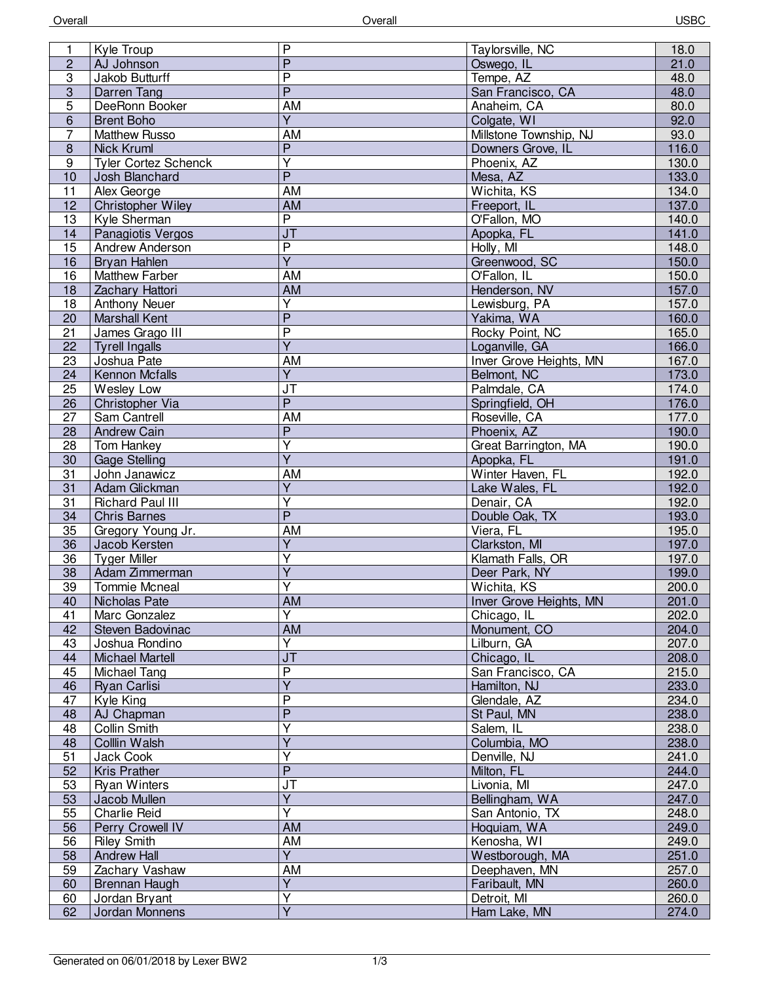| 1               | Kyle Troup                  | $\overline{P}$                    | Taylorsville, NC        | 18.0  |
|-----------------|-----------------------------|-----------------------------------|-------------------------|-------|
| $\overline{c}$  | AJ Johnson                  | $\overline{P}$                    | Oswego, IL              | 21.0  |
| $\overline{3}$  | Jakob Butturff              | $\overline{\mathsf{P}}$           | Tempe, AZ               | 48.0  |
| $\overline{3}$  | Darren Tang                 | $\overline{P}$                    | San Francisco, CA       | 48.0  |
| $\overline{5}$  | DeeRonn Booker              | <b>AM</b>                         | Anaheim, CA             | 80.0  |
| 6               | <b>Brent Boho</b>           | $\overline{Y}$                    | Colgate, WI             | 92.0  |
| $\overline{7}$  | <b>Matthew Russo</b>        | AM                                | Millstone Township, NJ  | 93.0  |
| $\bf{8}$        | <b>Nick Kruml</b>           | $\overline{P}$                    | Downers Grove, IL       | 116.0 |
| 9               |                             | $\overline{\mathsf{Y}}$           |                         |       |
|                 | <b>Tyler Cortez Schenck</b> | $\overline{P}$                    | Phoenix, AZ             | 130.0 |
| 10              | Josh Blanchard              |                                   | Mesa, AZ                | 133.0 |
| 11              | Alex George                 | AM                                | Wichita, KS             | 134.0 |
| 12              | Christopher Wiley           | AM                                | Freeport, IL            | 137.0 |
| 13              | Kyle Sherman                | $\overline{P}$                    | O'Fallon, MO            | 140.0 |
| 14              | Panagiotis Vergos           | $\overline{\mathsf{J}\mathsf{T}}$ | Apopka, FL              | 141.0 |
| 15              | Andrew Anderson             | $\overline{P}$                    | Holly, MI               | 148.0 |
| 16              | Bryan Hahlen                | $\overline{Y}$                    | Greenwood, SC           | 150.0 |
| 16              | <b>Matthew Farber</b>       | <b>AM</b>                         | O'Fallon, IL            | 150.0 |
| 18              | Zachary Hattori             | <b>AM</b>                         | Henderson, NV           | 157.0 |
| 18              | <b>Anthony Neuer</b>        | $\overline{\mathsf{Y}}$           | Lewisburg, PA           | 157.0 |
| 20              | <b>Marshall Kent</b>        | $\overline{\mathsf{P}}$           | Yakima, WA              | 160.0 |
| 21              | James Grago III             | $\overline{P}$                    | Rocky Point, NC         | 165.0 |
| 22              | <b>Tyrell Ingalls</b>       | $\overline{Y}$                    | Loganville, GA          | 166.0 |
| 23              | Joshua Pate                 | AM                                | Inver Grove Heights, MN | 167.0 |
| 24              | <b>Kennon Mcfalls</b>       | $\overline{Y}$                    | Belmont, NC             | 173.0 |
| 25              | Wesley Low                  | $\overline{\mathsf{J}\mathsf{T}}$ | Palmdale, CA            | 174.0 |
| 26              | Christopher Via             | $\overline{P}$                    | Springfield, OH         | 176.0 |
| $\overline{27}$ | Sam Cantrell                | <b>AM</b>                         | Roseville, CA           | 177.0 |
| 28              | <b>Andrew Cain</b>          | $\overline{P}$                    | Phoenix, AZ             | 190.0 |
| 28              | Tom Hankey                  | $\overline{\mathsf{Y}}$           | Great Barrington, MA    | 190.0 |
| 30              | <b>Gage Stelling</b>        | $\overline{\mathsf{Y}}$           | Apopka, FL              | 191.0 |
| 31              | John Janawicz               | AM                                | Winter Haven, FL        | 192.0 |
| $\overline{31}$ | Adam Glickman               | $\overline{Y}$                    | Lake Wales, FL          | 192.0 |
| 31              | <b>Richard Paul III</b>     | $\overline{\mathsf{Y}}$           | Denair, CA              | 192.0 |
| 34              | <b>Chris Barnes</b>         | $\overline{P}$                    | Double Oak, TX          | 193.0 |
| 35              | Gregory Young Jr.           | <b>AM</b>                         | Viera, FL               | 195.0 |
| 36              | Jacob Kersten               | $\overline{Y}$                    | Clarkston, MI           | 197.0 |
| 36              | <b>Tyger Miller</b>         | $\overline{\mathsf{Y}}$           | Klamath Falls, OR       | 197.0 |
| 38              | Adam Zimmerman              | $\overline{\mathsf{Y}}$           | Deer Park, NY           | 199.0 |
| 39              | <b>Tommie Mcneal</b>        | Υ                                 | Wichita, KS             | 200.0 |
| 40              | Nicholas Pate               | AM                                | Inver Grove Heights, MN | 201.0 |
| 41              | Marc Gonzalez               | Ÿ                                 |                         | 202.0 |
| 42              |                             | <b>AM</b>                         | Chicago, IL             | 204.0 |
| 43              | Steven Badovinac            | $\overline{\mathsf{Y}}$           | Monument, CO            | 207.0 |
|                 | Joshua Rondino              |                                   | Lilburn, GA             |       |
| 44              | <b>Michael Martell</b>      | J <sub>T</sub>                    | Chicago, IL             | 208.0 |
| 45              | Michael Tang                | $\overline{P}$                    | San Francisco, CA       | 215.0 |
| 46              | Ryan Carlisi                | $\overline{\mathsf{Y}}$           | Hamilton, NJ            | 233.0 |
| 47              | Kyle King                   | $\overline{P}$                    | Glendale, AZ            | 234.0 |
| 48              | AJ Chapman                  | $\overline{P}$                    | St Paul, MN             | 238.0 |
| 48              | Collin Smith                | $\overline{Y}$                    | Salem, IL               | 238.0 |
| 48              | Colllin Walsh               | $\overline{Y}$                    | Columbia, MO            | 238.0 |
| 51              | Jack Cook                   | Υ                                 | Denville, NJ            | 241.0 |
| 52              | Kris Prather                | $\overline{P}$                    | Milton, FL              | 244.0 |
| 53              | <b>Ryan Winters</b>         | $J$ T                             | Livonia, MI             | 247.0 |
| 53              | Jacob Mullen                | $\overline{Y}$                    | Bellingham, WA          | 247.0 |
| 55              | Charlie Reid                | $\overline{\mathsf{Y}}$           | San Antonio, TX         | 248.0 |
| 56              | Perry Crowell IV            | AM                                | Hoquiam, WA             | 249.0 |
| 56              | <b>Riley Smith</b>          | AM                                | Kenosha, WI             | 249.0 |
| 58              | <b>Andrew Hall</b>          | $\overline{Y}$                    | Westborough, MA         | 251.0 |
| 59              | Zachary Vashaw              | AM                                | Deephaven, MN           | 257.0 |
| 60              | Brennan Haugh               | $\overline{Y}$                    | Faribault, MN           | 260.0 |
| 60              | Jordan Bryant               | Υ                                 | Detroit, MI             | 260.0 |
| 62              | Jordan Monnens              | $\overline{Y}$                    | Ham Lake, MN            | 274.0 |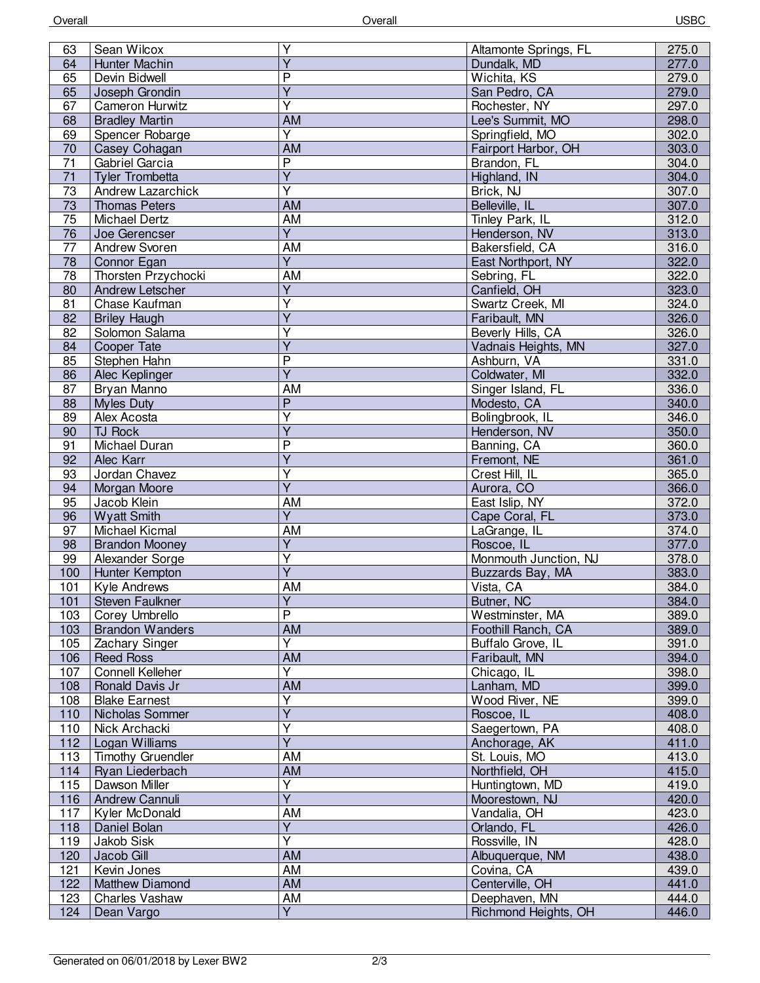| 63              | Sean Wilcox              | Υ                       | Altamonte Springs, FL | 275.0 |
|-----------------|--------------------------|-------------------------|-----------------------|-------|
| 64              | Hunter Machin            | $\overline{\mathsf{Y}}$ | Dundalk, MD           | 277.0 |
| 65              | Devin Bidwell            | $\overline{P}$          | Wichita, KS           | 279.0 |
| 65              | Joseph Grondin           | $\overline{\mathsf{Y}}$ | San Pedro, CA         | 279.0 |
| 67              | Cameron Hurwitz          | Ÿ                       | Rochester, NY         | 297.0 |
| 68              | <b>Bradley Martin</b>    | <b>AM</b>               | Lee's Summit, MO      | 298.0 |
| 69              | Spencer Robarge          | Ÿ                       | Springfield, MO       | 302.0 |
| 70              | Casey Cohagan            | AM                      | Fairport Harbor, OH   | 303.0 |
| $\overline{71}$ | Gabriel Garcia           | $\overline{P}$          | Brandon, FL           | 304.0 |
| 71              | <b>Tyler Trombetta</b>   | $\overline{Y}$          | Highland, IN          | 304.0 |
| $\overline{73}$ | Andrew Lazarchick        | $\overline{\mathsf{Y}}$ | Brick, NJ             | 307.0 |
| 73              | <b>Thomas Peters</b>     | AM                      | Belleville, IL        | 307.0 |
| 75              | Michael Dertz            | <b>AM</b>               | Tinley Park, IL       | 312.0 |
| 76              | Joe Gerencser            | $\overline{Y}$          | Henderson, NV         | 313.0 |
| 77              | <b>Andrew Svoren</b>     | AM                      | Bakersfield, CA       | 316.0 |
| $\overline{78}$ | Connor Egan              | $\overline{Y}$          | East Northport, NY    | 322.0 |
| $\overline{78}$ | Thorsten Przychocki      | AM                      | Sebring, FL           | 322.0 |
| 80              | Andrew Letscher          | $\overline{Y}$          | Canfield, OH          | 323.0 |
| 81              | Chase Kaufman            | Y                       | Swartz Creek, MI      | 324.0 |
| 82              | <b>Briley Haugh</b>      | Y                       | Faribault, MN         | 326.0 |
| 82              | Solomon Salama           | Υ                       | Beverly Hills, CA     | 326.0 |
| 84              | Cooper Tate              | $\overline{\mathsf{Y}}$ | Vadnais Heights, MN   | 327.0 |
|                 | Stephen Hahn             | P                       | Ashburn, VA           |       |
| 85              |                          | $\overline{\mathsf{Y}}$ |                       | 331.0 |
| 86              | Alec Keplinger           |                         | Coldwater, MI         | 332.0 |
| 87              | Bryan Manno              | AM                      | Singer Island, FL     | 336.0 |
| 88              | <b>Myles Duty</b>        | $\overline{P}$          | Modesto, CA           | 340.0 |
| 89              | Alex Acosta              | $\overline{\mathsf{Y}}$ | Bolingbrook, IL       | 346.0 |
| 90              | TJ Rock                  | Ÿ                       | Henderson, NV         | 350.0 |
| 91              | Michael Duran            | P                       | Banning, CA           | 360.0 |
| 92              | Alec Karr                | Y                       | Fremont, NE           | 361.0 |
| 93              | Jordan Chavez            | Υ                       | Crest Hill, IL        | 365.0 |
| 94              | Morgan Moore             | $\overline{\mathsf{Y}}$ | Aurora, CO            | 366.0 |
| 95              | Jacob Klein              | AM                      | East Islip, NY        | 372.0 |
| 96              | <b>Wyatt Smith</b>       | $\overline{Y}$          | Cape Coral, FL        | 373.0 |
| 97              | Michael Kicmal           | AM                      | LaGrange, IL          | 374.0 |
| 98              | <b>Brandon Mooney</b>    | $\overline{\mathsf{Y}}$ | Roscoe, IL            | 377.0 |
| 99              | Alexander Sorge          | $\overline{\mathsf{Y}}$ | Monmouth Junction, NJ | 378.0 |
| 100             | Hunter Kempton           | $\overline{\mathsf{Y}}$ | Buzzards Bay, MA      | 383.0 |
| 101             | Kyle Andrews             | AM                      | Vista, CA             | 384.0 |
| 101             | Steven Faulkner          | Y                       | Butner, NC            | 384.0 |
| 103             | Corey Umbrello           | $\overline{P}$          | Westminster, MA       | 389.0 |
| 103             | <b>Brandon Wanders</b>   | <b>AM</b>               | Foothill Ranch, CA    | 389.0 |
| 105             | Zachary Singer           | Y                       | Buffalo Grove, IL     | 391.0 |
| 106             | <b>Reed Ross</b>         | <b>AM</b>               | Faribault, MN         | 394.0 |
| 107             | <b>Connell Kelleher</b>  | $\overline{\mathsf{Y}}$ | Chicago, IL           | 398.0 |
| 108             | Ronald Davis Jr          | AM                      | Lanham, MD            | 399.0 |
| 108             | <b>Blake Earnest</b>     | $\overline{\mathsf{Y}}$ | Wood River, NE        | 399.0 |
| 110             | Nicholas Sommer          | $\overline{\mathsf{Y}}$ | Roscoe, IL            | 408.0 |
| 110             | Nick Archacki            | Υ                       | Saegertown, PA        | 408.0 |
| 112             | Logan Williams           | $\overline{Y}$          | Anchorage, AK         | 411.0 |
| 113             | <b>Timothy Gruendler</b> | AM                      | St. Louis, MO         | 413.0 |
| 114             | Ryan Liederbach          | AM                      | Northfield, OH        | 415.0 |
| 115             | Dawson Miller            | Ÿ                       | Huntingtown, MD       | 419.0 |
| 116             | Andrew Cannuli           | $\overline{Y}$          | Moorestown, NJ        | 420.0 |
| 117             | Kyler McDonald           | AM                      | Vandalia, OH          | 423.0 |
| 118             | Daniel Bolan             | $\overline{\mathsf{Y}}$ | Orlando, FL           | 426.0 |
| 119             | Jakob Sisk               | Y                       | Rossville, IN         | 428.0 |
| 120             | Jacob Gill               | <b>AM</b>               | Albuquerque, NM       | 438.0 |
| 121             | Kevin Jones              | AM                      | Covina, CA            | 439.0 |
| 122             | <b>Matthew Diamond</b>   | AM                      | Centerville, OH       | 441.0 |
| 123             | Charles Vashaw           | AM                      | Deephaven, MN         | 444.0 |
| 124             | Dean Vargo               | $\overline{Y}$          | Richmond Heights, OH  | 446.0 |
|                 |                          |                         |                       |       |